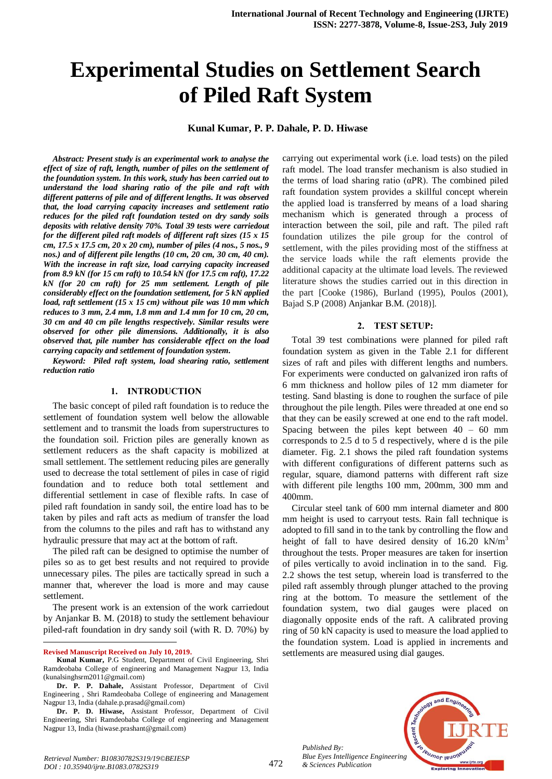# **Experimental Studies on Settlement Search of Piled Raft System**

# **Kunal Kumar, P. P. Dahale, P. D. Hiwase**

*Abstract: Present study is an experimental work to analyse the effect of size of raft, length, number of piles on the settlement of the foundation system. In this work, study has been carried out to understand the load sharing ratio of the pile and raft with different patterns of pile and of different lengths. It was observed that, the load carrying capacity increases and settlement ratio reduces for the piled raft foundation tested on dry sandy soils deposits with relative density 70%. Total 39 tests were carriedout for the different piled raft models of different raft sizes (15 x 15 cm, 17.5 x 17.5 cm, 20 x 20 cm), number of piles (4 nos., 5 nos., 9 nos.) and of different pile lengths (10 cm, 20 cm, 30 cm, 40 cm). With the increase in raft size, load carrying capacity increased from 8.9 kN (for 15 cm raft) to 10.54 kN (for 17.5 cm raft), 17.22 kN (for 20 cm raft) for 25 mm settlement. Length of pile considerably effect on the foundation settlement, for 5 kN applied load, raft settlement (15 x 15 cm) without pile was 10 mm which reduces to 3 mm, 2.4 mm, 1.8 mm and 1.4 mm for 10 cm, 20 cm, 30 cm and 40 cm pile lengths respectively. Similar results were observed for other pile dimensions. Additionally, it is also observed that, pile number has considerable effect on the load carrying capacity and settlement of foundation system.* 

*Keyword: Piled raft system, load shearing ratio, settlement reduction ratio*

#### **1. INTRODUCTION**

The basic concept of piled raft foundation is to reduce the settlement of foundation system well below the allowable settlement and to transmit the loads from superstructures to the foundation soil. Friction piles are generally known as settlement reducers as the shaft capacity is mobilized at small settlement. The settlement reducing piles are generally used to decrease the total settlement of piles in case of rigid foundation and to reduce both total settlement and differential settlement in case of flexible rafts. In case of piled raft foundation in sandy soil, the entire load has to be taken by piles and raft acts as medium of transfer the load from the columns to the piles and raft has to withstand any hydraulic pressure that may act at the bottom of raft.

The piled raft can be designed to optimise the number of piles so as to get best results and not required to provide unnecessary piles. The piles are tactically spread in such a manner that, wherever the load is more and may cause settlement.

The present work is an extension of the work carriedout by Anjankar B. M. (2018) to study the settlement behaviour piled-raft foundation in dry sandy soil (with R. D. 70%) by

 $\ddot{\phantom{a}}$ 

carrying out experimental work (i.e. load tests) on the piled raft model. The load transfer mechanism is also studied in the terms of load sharing ratio (αPR). The combined piled raft foundation system provides a skillful concept wherein the applied load is transferred by means of a load sharing mechanism which is generated through a process of interaction between the soil, pile and raft. The piled raft foundation utilizes the pile group for the control of settlement, with the piles providing most of the stiffness at the service loads while the raft elements provide the additional capacity at the ultimate load levels. The reviewed literature shows the studies carried out in this direction in the part [Cooke (1986), Burland (1995), Poulos (2001), Bajad S.P (2008) Anjankar B.M. (2018)].

#### **2. TEST SETUP:**

Total 39 test combinations were planned for piled raft foundation system as given in the Table 2.1 for different sizes of raft and piles with different lengths and numbers. For experiments were conducted on galvanized iron rafts of 6 mm thickness and hollow piles of 12 mm diameter for testing. Sand blasting is done to roughen the surface of pile throughout the pile length. Piles were threaded at one end so that they can be easily screwed at one end to the raft model. Spacing between the piles kept between 40 – 60 mm corresponds to 2.5 d to 5 d respectively, where d is the pile diameter. Fig. 2.1 shows the piled raft foundation systems with different configurations of different patterns such as regular, square, diamond patterns with different raft size with different pile lengths 100 mm, 200mm, 300 mm and 400mm.

Circular steel tank of 600 mm internal diameter and 800 mm height is used to carryout tests. Rain fall technique is adopted to fill sand in to the tank by controlling the flow and height of fall to have desired density of  $16.20 \text{ kN/m}^3$ throughout the tests. Proper measures are taken for insertion of piles vertically to avoid inclination in to the sand. Fig. 2.2 shows the test setup, wherein load is transferred to the piled raft assembly through plunger attached to the proving ring at the bottom. To measure the settlement of the foundation system, two dial gauges were placed on diagonally opposite ends of the raft. A calibrated proving ring of 50 kN capacity is used to measure the load applied to the foundation system. Load is applied in increments and settlements are measured using dial gauges.



*Published By: Blue Eyes Intelligence Engineering & Sciences Publication* 

**Revised Manuscript Received on July 10, 2019.**

**Kunal Kumar,** P.G Student, Department of Civil Engineering, Shri Ramdeobaba College of engineering and Management Nagpur 13, India (kunalsinghsrm2011@gmail.com)

**Dr. P. P. Dahale,** Assistant Professor, Department of Civil Engineering , Shri Ramdeobaba College of engineering and Management Nagpur 13, India (dahale.p.prasad@gmail.com)

**Dr. P. D. Hiwase,** Assistant Professor, Department of Civil Engineering, Shri Ramdeobaba College of engineering and Management Nagpur 13, India (hiwase.prashant@gmail.com)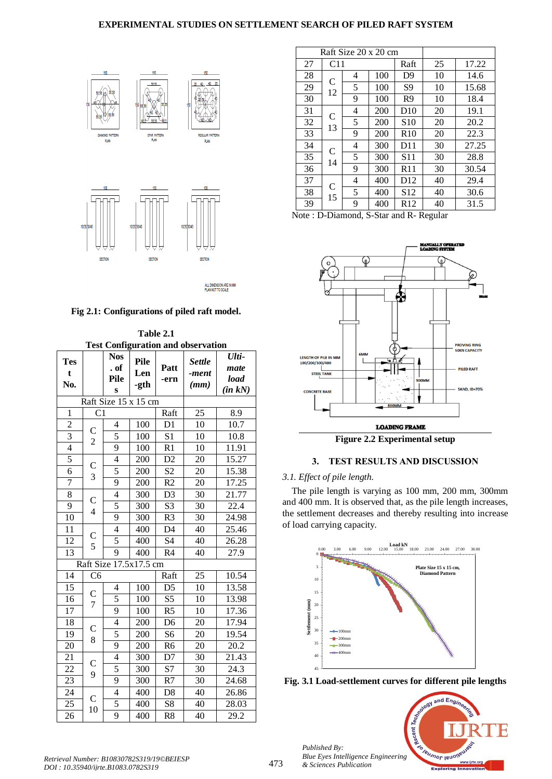## **EXPERIMENTAL STUDIES ON SETTLEMENT SEARCH OF PILED RAFT SYSTEM**



ALL DIMENSION ARE IN MM<br>PLAN NOT TO SCALE

#### **Fig 2.1: Configurations of piled raft model.**

**Table 2.1 Test Configuration and observation**

| <b>Tes</b><br>t<br>No. | * ^"                                    | $\sim$ umig<br><b>Nos</b><br>. of<br><b>Pile</b><br>S | Pile<br>Len<br>-gth | Patt<br>-ern   | uration and observation<br><b>Settle</b><br>-ment<br>(mm) | Ulti-<br>mate<br>load<br>$(in \ kN)$ |
|------------------------|-----------------------------------------|-------------------------------------------------------|---------------------|----------------|-----------------------------------------------------------|--------------------------------------|
|                        |                                         | Raft Size 15 x 15 cm                                  |                     |                |                                                           |                                      |
| $\mathbf{1}$           | C <sub>1</sub>                          |                                                       |                     | Raft           | 25                                                        | 8.9                                  |
| $\overline{c}$         | $\mathsf{C}$                            | $\overline{4}$                                        | 100                 | D1             | 10                                                        | 10.7                                 |
| $\overline{3}$         |                                         | 5                                                     | 100                 | S <sub>1</sub> | 10                                                        | 10.8                                 |
| $\overline{4}$         | $\overline{c}$                          | 9                                                     | 100                 | R1             | 10                                                        | 11.91                                |
| 5                      | $\overline{C}$<br>3                     | $\overline{4}$                                        | 200                 | D2             | 20                                                        | 15.27                                |
| $\overline{6}$         |                                         | 5                                                     | 200                 | S <sub>2</sub> | 20                                                        | 15.38                                |
| 7                      |                                         | $\overline{9}$                                        | 200                 | R <sub>2</sub> | 20                                                        | 17.25                                |
| 8                      | $\mathsf{C}$<br>$\overline{\mathbf{4}}$ | $\overline{4}$                                        | 300                 | D <sub>3</sub> | 30                                                        | 21.77                                |
| $\overline{9}$         |                                         | 5                                                     | 300                 | S <sub>3</sub> | 30                                                        | 22.4                                 |
| 10                     |                                         | $\overline{9}$                                        | 300                 | R <sub>3</sub> | 30                                                        | 24.98                                |
| 11                     | $\mathsf{C}$<br>5                       | $\overline{4}$                                        | 400                 | D <sub>4</sub> | 40                                                        | 25.46                                |
| $\overline{12}$        |                                         | $\overline{5}$                                        | 400                 | S4             | 40                                                        | 26.28                                |
| 13                     |                                         | 9                                                     | 400                 | R <sub>4</sub> | 40                                                        | 27.9                                 |
|                        |                                         | Raft Size 17.5x17.5 cm                                |                     |                |                                                           |                                      |
| 14                     | C6                                      |                                                       |                     | Raft           | 25                                                        | 10.54                                |
| 15                     | C<br>$\overline{7}$                     | $\overline{\mathcal{L}}$                              | 100                 | D <sub>5</sub> | 10                                                        | 13.58                                |
| 16                     |                                         | 5                                                     | 100                 | S <sub>5</sub> | 10                                                        | 13.98                                |
| $\overline{17}$        |                                         | 9                                                     | 100                 | R <sub>5</sub> | 10                                                        | 17.36                                |
| 18                     | $\mathsf{C}$<br>8                       | $\overline{4}$                                        | 200                 | D <sub>6</sub> | 20                                                        | 17.94                                |
| 19                     |                                         | $\overline{5}$                                        | 200                 | S <sub>6</sub> | 20                                                        | 19.54                                |
| 20                     |                                         | 9                                                     | 200                 | R <sub>6</sub> | 20                                                        | 20.2                                 |
| 21                     | $\mathsf{C}$<br>9                       | $\overline{4}$                                        | 300                 | D7             | 30                                                        | 21.43                                |
| 22                     |                                         | 5                                                     | 300                 | S7             | 30                                                        | 24.3                                 |
| 23                     |                                         | 9                                                     | 300                 | R7             | 30                                                        | 24.68                                |
| 24                     | $\mathbf C$<br>10                       | $\overline{4}$                                        | 400                 | D <sub>8</sub> | 40                                                        | 26.86                                |
| 25                     |                                         | 5                                                     | 400                 | S8             | 40                                                        | 28.03                                |
| 26                     |                                         | 9                                                     | 400                 | R <sub>8</sub> | 40                                                        | 29.2                                 |

|    | Raft Size 20 x 20 cm |   |     |                 |    |       |
|----|----------------------|---|-----|-----------------|----|-------|
| 27 | C11                  |   |     | Raft            | 25 | 17.22 |
| 28 | C<br>12              | 4 | 100 | D <sub>9</sub>  | 10 | 14.6  |
| 29 |                      | 5 | 100 | S <sub>9</sub>  | 10 | 15.68 |
| 30 |                      | 9 | 100 | R <sub>9</sub>  | 10 | 18.4  |
| 31 | C<br>13              | 4 | 200 | D10             | 20 | 19.1  |
| 32 |                      | 5 | 200 | S <sub>10</sub> | 20 | 20.2  |
| 33 |                      | 9 | 200 | R10             | 20 | 22.3  |
| 34 | C<br>14              | 4 | 300 | D11             | 30 | 27.25 |
| 35 |                      | 5 | 300 | S <sub>11</sub> | 30 | 28.8  |
| 36 |                      | 9 | 300 | R11             | 30 | 30.54 |
| 37 | C<br>15              | 4 | 400 | D <sub>12</sub> | 40 | 29.4  |
| 38 |                      | 5 | 400 | S <sub>12</sub> | 40 | 30.6  |
| 39 |                      | 9 | 400 | R <sub>12</sub> | 40 | 31.5  |

Note : D-Diamond, S-Star and R- Regular





## **3. TEST RESULTS AND DISCUSSION**

### *3.1. Effect of pile length.*

The pile length is varying as 100 mm, 200 mm, 300mm and 400 mm. It is observed that, as the pile length increases, the settlement decreases and thereby resulting into increase of load carrying capacity.



**Fig. 3.1 Load-settlement curves for different pile lengths** 

t Tech

and Engi

**SO Teusnor IBUONE** 

www.ijrte.org

Recent T *Published By: Blue Eyes Intelligence Engineering & Sciences Publication* 

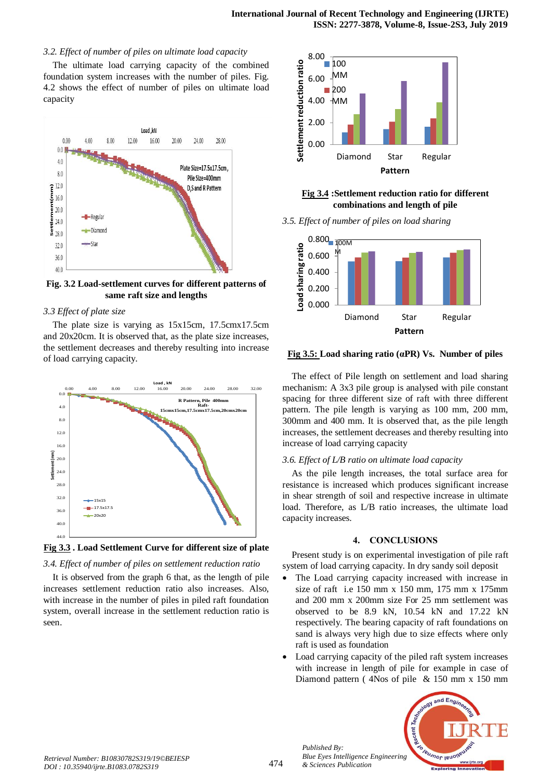#### *3.2. Effect of number of piles on ultimate load capacity*

The ultimate load carrying capacity of the combined foundation system increases with the number of piles. Fig. 4.2 shows the effect of number of piles on ultimate load capacity



**Fig. 3.2 Load-settlement curves for different patterns of same raft size and lengths**

#### *3.3 Effect of plate size*

The plate size is varying as 15x15cm, 17.5cmx17.5cm and 20x20cm. It is observed that, as the plate size increases, the settlement decreases and thereby resulting into increase of load carrying capacity.



**Fig 3.3 . Load Settlement Curve for different size of plate** 

#### *3.4. Effect of number of piles on settlement reduction ratio*

It is observed from the graph 6 that, as the length of pile increases settlement reduction ratio also increases. Also, with increase in the number of piles in piled raft foundation system, overall increase in the settlement reduction ratio is seen.



**Fig 3.4 :Settlement reduction ratio for different combinations and length of pile**

*3.5. Effect of number of piles on load sharing*



**Fig 3.5: Load sharing ratio (αPR) Vs. Number of piles**

The effect of Pile length on settlement and load sharing mechanism: A 3x3 pile group is analysed with pile constant spacing for three different size of raft with three different pattern. The pile length is varying as 100 mm, 200 mm, 300mm and 400 mm. It is observed that, as the pile length increases, the settlement decreases and thereby resulting into increase of load carrying capacity

#### *3.6. Effect of L/B ratio on ultimate load capacity*

As the pile length increases, the total surface area for resistance is increased which produces significant increase in shear strength of soil and respective increase in ultimate load. Therefore, as L/B ratio increases, the ultimate load capacity increases.

#### **4. CONCLUSIONS**

Present study is on experimental investigation of pile raft system of load carrying capacity. In dry sandy soil deposit

- The Load carrying capacity increased with increase in size of raft i.e 150 mm x 150 mm, 175 mm x 175mm and 200 mm x 200mm size For 25 mm settlement was observed to be 8.9 kN, 10.54 kN and 17.22 kN respectively. The bearing capacity of raft foundations on sand is always very high due to size effects where only raft is used as foundation
- Load carrying capacity of the piled raft system increases with increase in length of pile for example in case of Diamond pattern ( 4Nos of pile & 150 mm x 150 mm



*Published By:*

*& Sciences Publication*